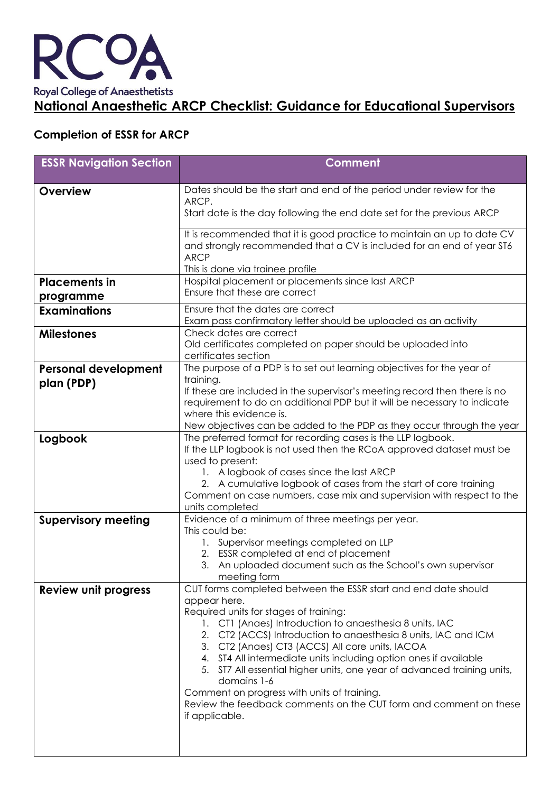

## **Completion of ESSR for ARCP**

| <b>ESSR Navigation Section</b> | <b>Comment</b>                                                                                                                                                                                      |
|--------------------------------|-----------------------------------------------------------------------------------------------------------------------------------------------------------------------------------------------------|
| <b>Overview</b>                | Dates should be the start and end of the period under review for the                                                                                                                                |
|                                | ARCP.<br>Start date is the day following the end date set for the previous ARCP                                                                                                                     |
|                                | It is recommended that it is good practice to maintain an up to date CV<br>and strongly recommended that a CV is included for an end of year ST6<br><b>ARCP</b><br>This is done via trainee profile |
| <b>Placements in</b>           | Hospital placement or placements since last ARCP                                                                                                                                                    |
| programme                      | Ensure that these are correct                                                                                                                                                                       |
| <b>Examinations</b>            | Ensure that the dates are correct<br>Exam pass confirmatory letter should be uploaded as an activity                                                                                                |
| <b>Milestones</b>              | Check dates are correct<br>Old certificates completed on paper should be uploaded into<br>certificates section                                                                                      |
| <b>Personal development</b>    | The purpose of a PDP is to set out learning objectives for the year of                                                                                                                              |
| plan (PDP)                     | training.<br>If these are included in the supervisor's meeting record then there is no                                                                                                              |
|                                | requirement to do an additional PDP but it will be necessary to indicate                                                                                                                            |
|                                | where this evidence is.                                                                                                                                                                             |
|                                | New objectives can be added to the PDP as they occur through the year                                                                                                                               |
| Logbook                        | The preferred format for recording cases is the LLP logbook.<br>If the LLP logbook is not used then the RCoA approved dataset must be<br>used to present:                                           |
|                                | 1. A logbook of cases since the last ARCP                                                                                                                                                           |
|                                | 2. A cumulative logbook of cases from the start of core training                                                                                                                                    |
|                                | Comment on case numbers, case mix and supervision with respect to the<br>units completed                                                                                                            |
| <b>Supervisory meeting</b>     | Evidence of a minimum of three meetings per year.                                                                                                                                                   |
|                                | This could be:                                                                                                                                                                                      |
|                                | 1. Supervisor meetings completed on LLP<br>2. ESSR completed at end of placement                                                                                                                    |
|                                | 3. An uploaded document such as the School's own supervisor                                                                                                                                         |
|                                | meeting form                                                                                                                                                                                        |
| <b>Review unit progress</b>    | CUT forms completed between the ESSR start and end date should                                                                                                                                      |
|                                | appear here.<br>Required units for stages of training:                                                                                                                                              |
|                                | 1. CT1 (Anaes) Introduction to anaesthesia 8 units, IAC                                                                                                                                             |
|                                | 2. CT2 (ACCS) Introduction to anaesthesia 8 units, IAC and ICM                                                                                                                                      |
|                                | 3. CT2 (Anaes) CT3 (ACCS) All core units, IACOA                                                                                                                                                     |
|                                | 4. ST4 All intermediate units including option ones if available<br>5. ST7 All essential higher units, one year of advanced training units,<br>domains 1-6                                          |
|                                | Comment on progress with units of training.                                                                                                                                                         |
|                                | Review the feedback comments on the CUT form and comment on these<br>if applicable.                                                                                                                 |
|                                |                                                                                                                                                                                                     |
|                                |                                                                                                                                                                                                     |